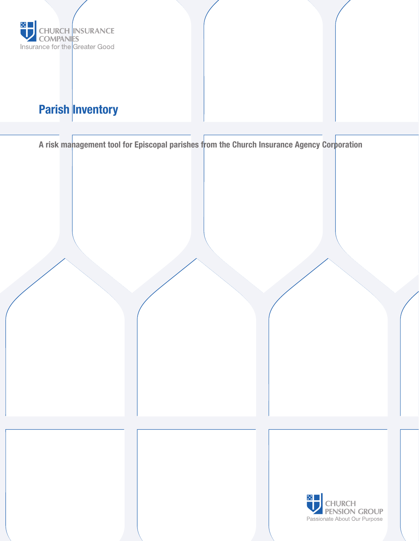

# Parish Inventory

A risk management tool for Episcopal parishes from the Church Insurance Agency Corporation

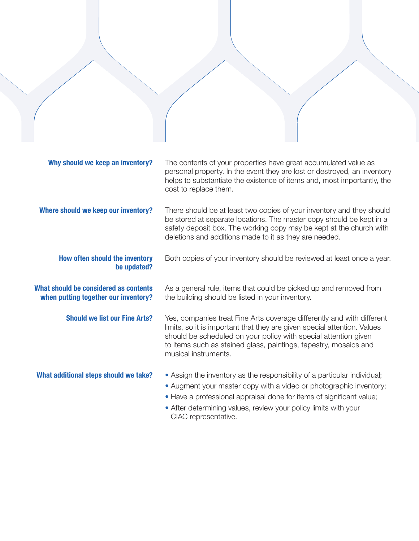| Why should we keep an inventory?                                              | The contents of your properties have great accumulated value as<br>personal property. In the event they are lost or destroyed, an inventory<br>helps to substantiate the existence of items and, most importantly, the<br>cost to replace them.                                                                   |
|-------------------------------------------------------------------------------|-------------------------------------------------------------------------------------------------------------------------------------------------------------------------------------------------------------------------------------------------------------------------------------------------------------------|
| Where should we keep our inventory?                                           | There should be at least two copies of your inventory and they should<br>be stored at separate locations. The master copy should be kept in a<br>safety deposit box. The working copy may be kept at the church with<br>deletions and additions made to it as they are needed.                                    |
| How often should the inventory<br>be updated?                                 | Both copies of your inventory should be reviewed at least once a year.                                                                                                                                                                                                                                            |
| What should be considered as contents<br>when putting together our inventory? | As a general rule, items that could be picked up and removed from<br>the building should be listed in your inventory.                                                                                                                                                                                             |
| <b>Should we list our Fine Arts?</b>                                          | Yes, companies treat Fine Arts coverage differently and with different<br>limits, so it is important that they are given special attention. Values<br>should be scheduled on your policy with special attention given<br>to items such as stained glass, paintings, tapestry, mosaics and<br>musical instruments. |
| What additional steps should we take?                                         | • Assign the inventory as the responsibility of a particular individual;<br>• Augment your master copy with a video or photographic inventory;<br>• Have a professional appraisal done for items of significant value;<br>• After determining values, review your policy limits with your<br>CIAC representative. |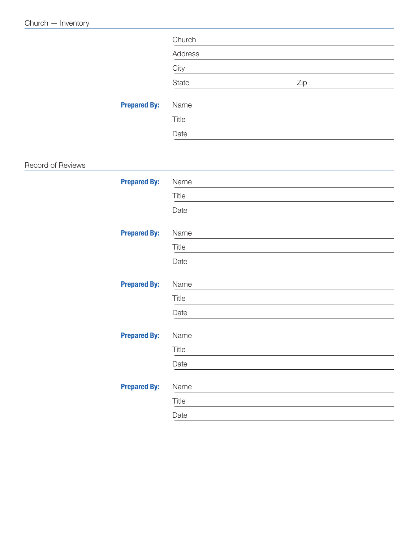|                   |                     | Church  |     |  |
|-------------------|---------------------|---------|-----|--|
|                   |                     | Address |     |  |
|                   |                     | City    |     |  |
|                   |                     | State   | Zip |  |
|                   | <b>Prepared By:</b> | Name    |     |  |
|                   |                     | Title   |     |  |
|                   |                     | Date    |     |  |
|                   |                     |         |     |  |
| Record of Reviews |                     |         |     |  |
|                   | <b>Prepared By:</b> | Name    |     |  |
|                   |                     | Title   |     |  |
|                   |                     | Date    |     |  |
|                   | <b>Prepared By:</b> | Name    |     |  |
|                   |                     | Title   |     |  |
|                   |                     | Date    |     |  |
|                   | <b>Prepared By:</b> | Name    |     |  |
|                   |                     | Title   |     |  |
|                   |                     | Date    |     |  |
|                   | <b>Prepared By:</b> | Name    |     |  |
|                   |                     | Title   |     |  |
|                   |                     | Date    |     |  |
|                   |                     |         |     |  |
|                   | <b>Prepared By:</b> | Name    |     |  |
|                   |                     | Title   |     |  |
|                   |                     | Date    |     |  |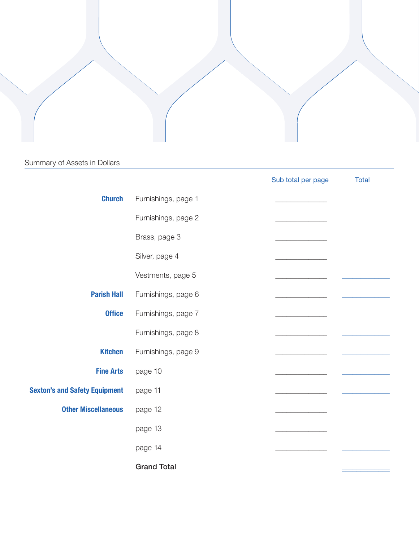### Summary of Assets in Dollars

|                                      |                     | Sub total per page | Total |
|--------------------------------------|---------------------|--------------------|-------|
| <b>Church</b>                        | Furnishings, page 1 |                    |       |
|                                      | Furnishings, page 2 |                    |       |
|                                      | Brass, page 3       |                    |       |
|                                      | Silver, page 4      |                    |       |
|                                      | Vestments, page 5   |                    |       |
| <b>Parish Hall</b>                   | Furnishings, page 6 |                    |       |
| <b>Office</b>                        | Furnishings, page 7 |                    |       |
|                                      | Furnishings, page 8 |                    |       |
| <b>Kitchen</b>                       | Furnishings, page 9 |                    |       |
| <b>Fine Arts</b>                     | page 10             |                    |       |
| <b>Sexton's and Safety Equipment</b> | page 11             |                    |       |
| <b>Other Miscellaneous</b>           | page 12             |                    |       |
|                                      | page 13             |                    |       |
|                                      | page 14             |                    |       |
|                                      | <b>Grand Total</b>  |                    |       |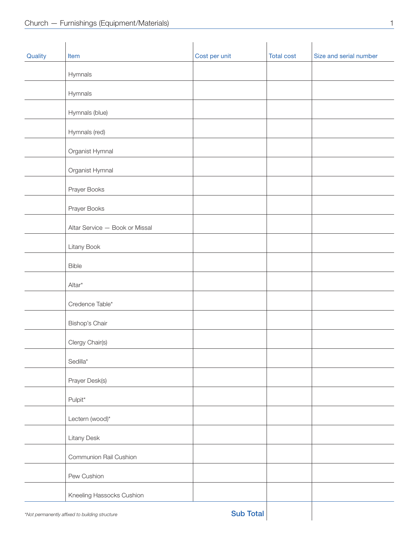| Quality | Item                                           | Cost per unit    | <b>Total cost</b> | Size and serial number |
|---------|------------------------------------------------|------------------|-------------------|------------------------|
|         | Hymnals                                        |                  |                   |                        |
|         | Hymnals                                        |                  |                   |                        |
|         | Hymnals (blue)                                 |                  |                   |                        |
|         | Hymnals (red)                                  |                  |                   |                        |
|         | Organist Hymnal                                |                  |                   |                        |
|         | Organist Hymnal                                |                  |                   |                        |
|         | Prayer Books                                   |                  |                   |                        |
|         | Prayer Books                                   |                  |                   |                        |
|         | Altar Service - Book or Missal                 |                  |                   |                        |
|         | Litany Book                                    |                  |                   |                        |
|         | Bible                                          |                  |                   |                        |
|         | Altar*                                         |                  |                   |                        |
|         | Credence Table*                                |                  |                   |                        |
|         | Bishop's Chair                                 |                  |                   |                        |
|         | Clergy Chair(s)                                |                  |                   |                        |
|         | Sedilla*                                       |                  |                   |                        |
|         | Prayer Desk(s)                                 |                  |                   |                        |
|         | Pulpit*                                        |                  |                   |                        |
|         | Lectern (wood)*                                |                  |                   |                        |
|         | <b>Litany Desk</b>                             |                  |                   |                        |
|         | Communion Rail Cushion                         |                  |                   |                        |
|         | Pew Cushion                                    |                  |                   |                        |
|         | Kneeling Hassocks Cushion                      |                  |                   |                        |
|         | *Not permanently affixed to building structure | <b>Sub Total</b> |                   |                        |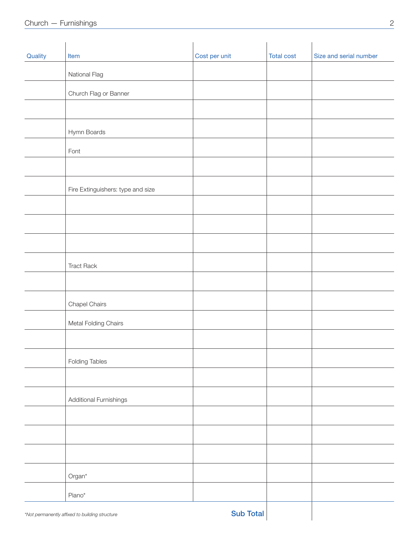| Quality | Item                                           | Cost per unit    | <b>Total cost</b> | Size and serial number |
|---------|------------------------------------------------|------------------|-------------------|------------------------|
|         | National Flag                                  |                  |                   |                        |
|         | Church Flag or Banner                          |                  |                   |                        |
|         |                                                |                  |                   |                        |
|         | Hymn Boards                                    |                  |                   |                        |
|         | Font                                           |                  |                   |                        |
|         |                                                |                  |                   |                        |
|         | Fire Extinguishers: type and size              |                  |                   |                        |
|         |                                                |                  |                   |                        |
|         |                                                |                  |                   |                        |
|         |                                                |                  |                   |                        |
|         | <b>Tract Rack</b>                              |                  |                   |                        |
|         |                                                |                  |                   |                        |
|         | Chapel Chairs                                  |                  |                   |                        |
|         | Metal Folding Chairs                           |                  |                   |                        |
|         |                                                |                  |                   |                        |
|         | <b>Folding Tables</b>                          |                  |                   |                        |
|         |                                                |                  |                   |                        |
|         | Additional Furnishings                         |                  |                   |                        |
|         |                                                |                  |                   |                        |
|         |                                                |                  |                   |                        |
|         |                                                |                  |                   |                        |
|         | $Organ^*$                                      |                  |                   |                        |
|         | Piano*                                         |                  |                   |                        |
|         | *Not permanently affixed to building structure | <b>Sub Total</b> |                   |                        |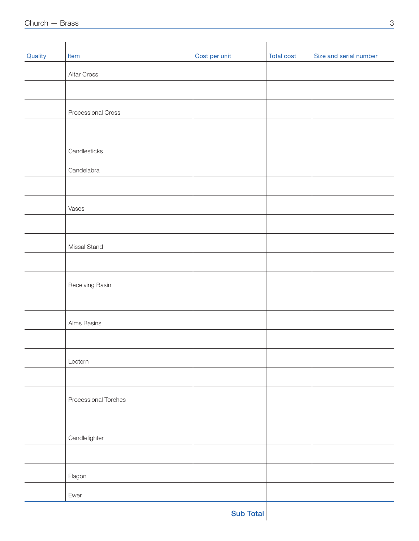| Quality | Item                 | Cost per unit    | <b>Total cost</b> | Size and serial number |
|---------|----------------------|------------------|-------------------|------------------------|
|         | Altar Cross          |                  |                   |                        |
|         |                      |                  |                   |                        |
|         | Processional Cross   |                  |                   |                        |
|         |                      |                  |                   |                        |
|         | Candlesticks         |                  |                   |                        |
|         | Candelabra           |                  |                   |                        |
|         |                      |                  |                   |                        |
|         | Vases                |                  |                   |                        |
|         |                      |                  |                   |                        |
|         | Missal Stand         |                  |                   |                        |
|         |                      |                  |                   |                        |
|         | Receiving Basin      |                  |                   |                        |
|         |                      |                  |                   |                        |
|         | Alms Basins          |                  |                   |                        |
|         |                      |                  |                   |                        |
|         | Lectern              |                  |                   |                        |
|         |                      |                  |                   |                        |
|         | Processional Torches |                  |                   |                        |
|         |                      |                  |                   |                        |
|         | Candlelighter        |                  |                   |                        |
|         |                      |                  |                   |                        |
|         | Flagon               |                  |                   |                        |
|         | Ewer                 |                  |                   |                        |
|         |                      | <b>Sub Total</b> |                   |                        |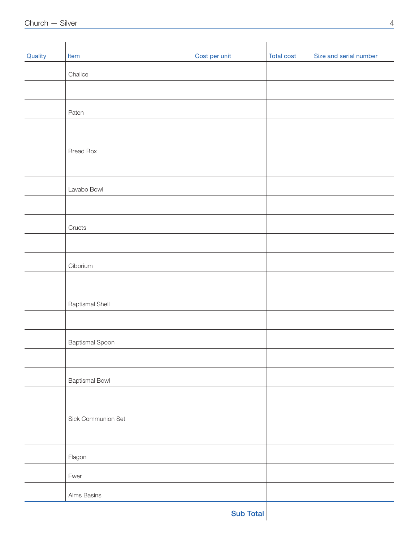| Quality | Item                   | Cost per unit    | <b>Total cost</b> | Size and serial number |
|---------|------------------------|------------------|-------------------|------------------------|
|         | Chalice                |                  |                   |                        |
|         |                        |                  |                   |                        |
|         | Paten                  |                  |                   |                        |
|         |                        |                  |                   |                        |
|         | <b>Bread Box</b>       |                  |                   |                        |
|         |                        |                  |                   |                        |
|         | Lavabo Bowl            |                  |                   |                        |
|         |                        |                  |                   |                        |
|         | Cruets                 |                  |                   |                        |
|         |                        |                  |                   |                        |
|         | Ciborium               |                  |                   |                        |
|         |                        |                  |                   |                        |
|         | <b>Baptismal Shell</b> |                  |                   |                        |
|         |                        |                  |                   |                        |
|         | <b>Baptismal Spoon</b> |                  |                   |                        |
|         |                        |                  |                   |                        |
|         | <b>Baptismal Bowl</b>  |                  |                   |                        |
|         |                        |                  |                   |                        |
|         | Sick Communion Set     |                  |                   |                        |
|         |                        |                  |                   |                        |
|         | Flagon                 |                  |                   |                        |
|         | Ewer                   |                  |                   |                        |
|         | Alms Basins            |                  |                   |                        |
|         |                        | <b>Sub Total</b> |                   |                        |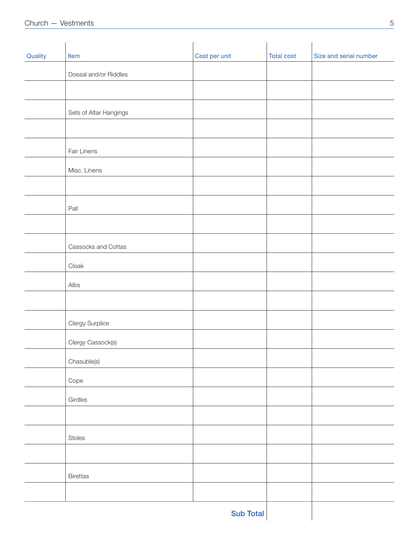| Quality | Item                   | Cost per unit | <b>Total cost</b> | Size and serial number |
|---------|------------------------|---------------|-------------------|------------------------|
|         | Dossal and/or Riddles  |               |                   |                        |
|         |                        |               |                   |                        |
|         | Sets of Altar Hangings |               |                   |                        |
|         |                        |               |                   |                        |
|         | Fair Linens            |               |                   |                        |
|         | Misc. Linens           |               |                   |                        |
|         |                        |               |                   |                        |
|         | Pall                   |               |                   |                        |
|         |                        |               |                   |                        |
|         | Cassocks and Cottas    |               |                   |                        |
|         | Cloak                  |               |                   |                        |
|         | Albs                   |               |                   |                        |
|         |                        |               |                   |                        |
|         | Clergy Surplice        |               |                   |                        |
|         | Clergy Cassock(s)      |               |                   |                        |
|         | Chasuble(s)            |               |                   |                        |
|         | Cope                   |               |                   |                        |
|         | Girdles                |               |                   |                        |
|         |                        |               |                   |                        |
|         | Stoles                 |               |                   |                        |
|         |                        |               |                   |                        |
|         | Birettas               |               |                   |                        |
|         |                        |               |                   |                        |
|         |                        | Sub Total     |                   |                        |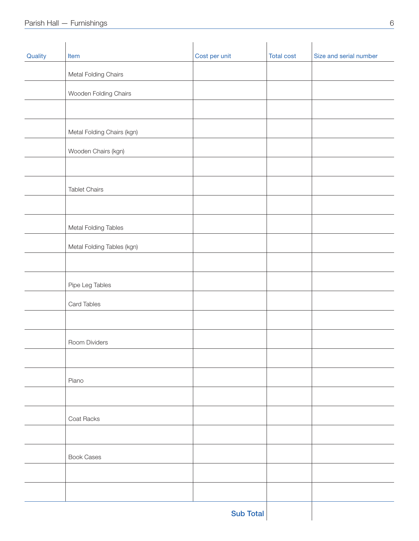| Quality | Item                       | Cost per unit    | <b>Total cost</b> | Size and serial number |
|---------|----------------------------|------------------|-------------------|------------------------|
|         | Metal Folding Chairs       |                  |                   |                        |
|         | Wooden Folding Chairs      |                  |                   |                        |
|         |                            |                  |                   |                        |
|         | Metal Folding Chairs (kgn) |                  |                   |                        |
|         | Wooden Chairs (kgn)        |                  |                   |                        |
|         |                            |                  |                   |                        |
|         | <b>Tablet Chairs</b>       |                  |                   |                        |
|         |                            |                  |                   |                        |
|         | Metal Folding Tables       |                  |                   |                        |
|         | Metal Folding Tables (kgn) |                  |                   |                        |
|         |                            |                  |                   |                        |
|         | Pipe Leg Tables            |                  |                   |                        |
|         | Card Tables                |                  |                   |                        |
|         |                            |                  |                   |                        |
|         | Room Dividers              |                  |                   |                        |
|         |                            |                  |                   |                        |
|         | Piano                      |                  |                   |                        |
|         |                            |                  |                   |                        |
|         | Coat Racks                 |                  |                   |                        |
|         |                            |                  |                   |                        |
|         | <b>Book Cases</b>          |                  |                   |                        |
|         |                            |                  |                   |                        |
|         |                            |                  |                   |                        |
|         |                            | <b>Sub Total</b> |                   |                        |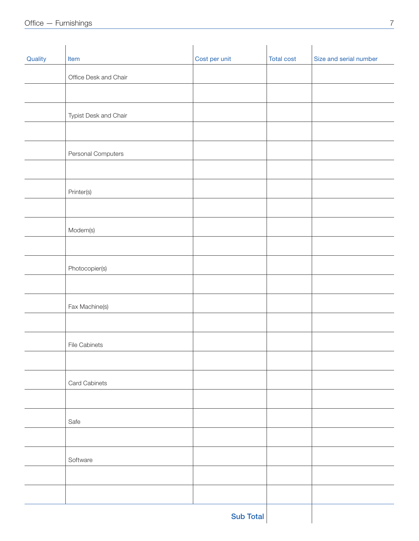| Quality | Item                  | Cost per unit | <b>Total cost</b> | Size and serial number |
|---------|-----------------------|---------------|-------------------|------------------------|
|         | Office Desk and Chair |               |                   |                        |
|         |                       |               |                   |                        |
|         | Typist Desk and Chair |               |                   |                        |
|         |                       |               |                   |                        |
|         | Personal Computers    |               |                   |                        |
|         |                       |               |                   |                        |
|         | Printer(s)            |               |                   |                        |
|         |                       |               |                   |                        |
|         | Modem(s)              |               |                   |                        |
|         |                       |               |                   |                        |
|         | Photocopier(s)        |               |                   |                        |
|         |                       |               |                   |                        |
|         | Fax Machine(s)        |               |                   |                        |
|         |                       |               |                   |                        |
|         | <b>File Cabinets</b>  |               |                   |                        |
|         |                       |               |                   |                        |
|         | Card Cabinets         |               |                   |                        |
|         |                       |               |                   |                        |
|         | Safe                  |               |                   |                        |
|         |                       |               |                   |                        |
|         | Software              |               |                   |                        |
|         |                       |               |                   |                        |
|         |                       |               |                   |                        |
|         |                       |               |                   |                        |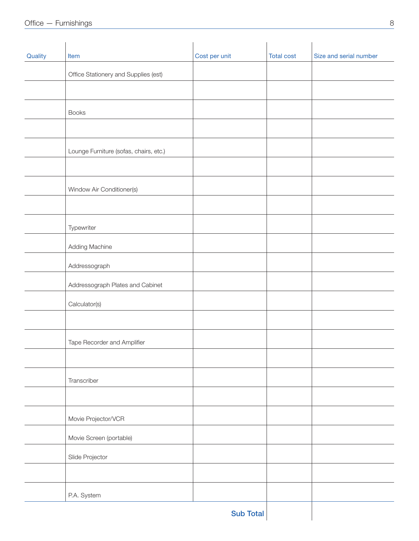| Quality | Item                                   | Cost per unit    | <b>Total cost</b> | Size and serial number |
|---------|----------------------------------------|------------------|-------------------|------------------------|
|         | Office Stationery and Supplies (est)   |                  |                   |                        |
|         |                                        |                  |                   |                        |
|         | <b>Books</b>                           |                  |                   |                        |
|         |                                        |                  |                   |                        |
|         | Lounge Furniture (sofas, chairs, etc.) |                  |                   |                        |
|         |                                        |                  |                   |                        |
|         | Window Air Conditioner(s)              |                  |                   |                        |
|         |                                        |                  |                   |                        |
|         | Typewriter                             |                  |                   |                        |
|         | Adding Machine                         |                  |                   |                        |
|         | Addressograph                          |                  |                   |                        |
|         | Addressograph Plates and Cabinet       |                  |                   |                        |
|         |                                        |                  |                   |                        |
|         | Calculator(s)                          |                  |                   |                        |
|         |                                        |                  |                   |                        |
|         | Tape Recorder and Amplifier            |                  |                   |                        |
|         |                                        |                  |                   |                        |
|         | Transcriber                            |                  |                   |                        |
|         |                                        |                  |                   |                        |
|         | Movie Projector/VCR                    |                  |                   |                        |
|         | Movie Screen (portable)                |                  |                   |                        |
|         | Slide Projector                        |                  |                   |                        |
|         |                                        |                  |                   |                        |
|         | P.A. System                            |                  |                   |                        |
|         |                                        | <b>Sub Total</b> |                   |                        |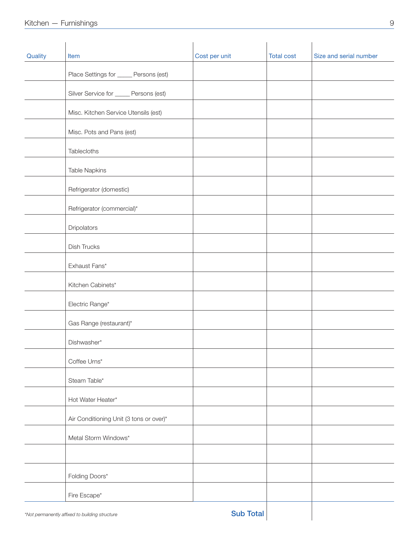| Quality | Item                                           | Cost per unit    | <b>Total cost</b> | Size and serial number |
|---------|------------------------------------------------|------------------|-------------------|------------------------|
|         | Place Settings for _____ Persons (est)         |                  |                   |                        |
|         | Silver Service for _____ Persons (est)         |                  |                   |                        |
|         | Misc. Kitchen Service Utensils (est)           |                  |                   |                        |
|         | Misc. Pots and Pans (est)                      |                  |                   |                        |
|         | Tablecloths                                    |                  |                   |                        |
|         | <b>Table Napkins</b>                           |                  |                   |                        |
|         | Refrigerator (domestic)                        |                  |                   |                        |
|         | Refrigerator (commercial)*                     |                  |                   |                        |
|         | Dripolators                                    |                  |                   |                        |
|         | Dish Trucks                                    |                  |                   |                        |
|         | Exhaust Fans*                                  |                  |                   |                        |
|         | Kitchen Cabinets*                              |                  |                   |                        |
|         | Electric Range*                                |                  |                   |                        |
|         | Gas Range (restaurant)*                        |                  |                   |                        |
|         | Dishwasher*                                    |                  |                   |                        |
|         | Coffee Urns*                                   |                  |                   |                        |
|         | Steam Table*                                   |                  |                   |                        |
|         | Hot Water Heater*                              |                  |                   |                        |
|         | Air Conditioning Unit (3 tons or over)*        |                  |                   |                        |
|         | Metal Storm Windows*                           |                  |                   |                        |
|         |                                                |                  |                   |                        |
|         | Folding Doors*                                 |                  |                   |                        |
|         | Fire Escape*                                   |                  |                   |                        |
|         | *Not permanently affixed to building structure | <b>Sub Total</b> |                   |                        |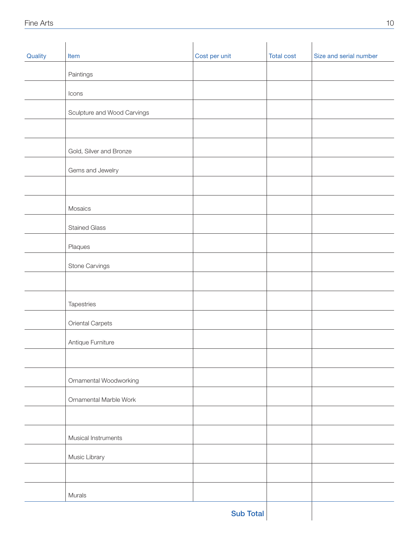| Quality | Item                        | Cost per unit    | <b>Total cost</b> | Size and serial number |
|---------|-----------------------------|------------------|-------------------|------------------------|
|         | Paintings                   |                  |                   |                        |
|         | Icons                       |                  |                   |                        |
|         | Sculpture and Wood Carvings |                  |                   |                        |
|         |                             |                  |                   |                        |
|         | Gold, Silver and Bronze     |                  |                   |                        |
|         | Gems and Jewelry            |                  |                   |                        |
|         |                             |                  |                   |                        |
|         | Mosaics                     |                  |                   |                        |
|         | <b>Stained Glass</b>        |                  |                   |                        |
|         | Plaques                     |                  |                   |                        |
|         | Stone Carvings              |                  |                   |                        |
|         |                             |                  |                   |                        |
|         | Tapestries                  |                  |                   |                        |
|         | Oriental Carpets            |                  |                   |                        |
|         | Antique Furniture           |                  |                   |                        |
|         |                             |                  |                   |                        |
|         | Ornamental Woodworking      |                  |                   |                        |
|         | Ornamental Marble Work      |                  |                   |                        |
|         |                             |                  |                   |                        |
|         | Musical Instruments         |                  |                   |                        |
|         | Music Library               |                  |                   |                        |
|         |                             |                  |                   |                        |
|         | Murals                      |                  |                   |                        |
|         |                             | <b>Sub Total</b> |                   |                        |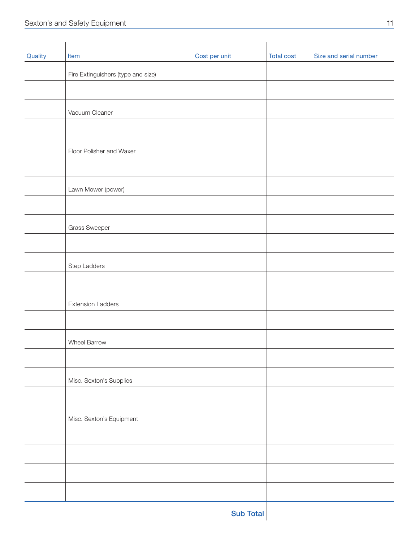| Quality | Item                               | Cost per unit    | <b>Total cost</b> | Size and serial number |
|---------|------------------------------------|------------------|-------------------|------------------------|
|         | Fire Extinguishers (type and size) |                  |                   |                        |
|         |                                    |                  |                   |                        |
|         | Vacuum Cleaner                     |                  |                   |                        |
|         |                                    |                  |                   |                        |
|         | Floor Polisher and Waxer           |                  |                   |                        |
|         |                                    |                  |                   |                        |
|         | Lawn Mower (power)                 |                  |                   |                        |
|         |                                    |                  |                   |                        |
|         | Grass Sweeper                      |                  |                   |                        |
|         |                                    |                  |                   |                        |
|         | Step Ladders                       |                  |                   |                        |
|         |                                    |                  |                   |                        |
|         | <b>Extension Ladders</b>           |                  |                   |                        |
|         |                                    |                  |                   |                        |
|         | Wheel Barrow                       |                  |                   |                        |
|         |                                    |                  |                   |                        |
|         | Misc. Sexton's Supplies            |                  |                   |                        |
|         |                                    |                  |                   |                        |
|         | Misc. Sexton's Equipment           |                  |                   |                        |
|         |                                    |                  |                   |                        |
|         |                                    |                  |                   |                        |
|         |                                    |                  |                   |                        |
|         |                                    |                  |                   |                        |
|         |                                    | <b>Sub Total</b> |                   |                        |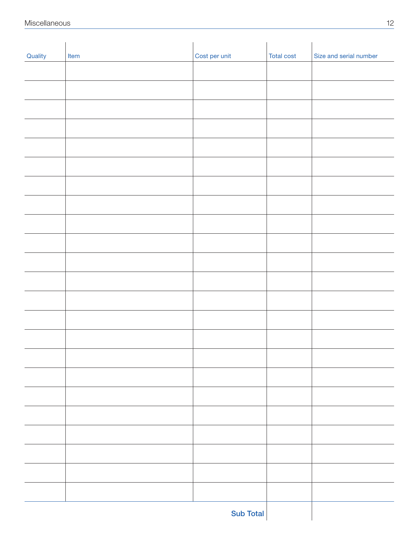| Quality | Item | Cost per unit | <b>Total cost</b> | Size and serial number |
|---------|------|---------------|-------------------|------------------------|
|         |      |               |                   |                        |
|         |      |               |                   |                        |
|         |      |               |                   |                        |
|         |      |               |                   |                        |
|         |      |               |                   |                        |
|         |      |               |                   |                        |
|         |      |               |                   |                        |
|         |      |               |                   |                        |
|         |      |               |                   |                        |
|         |      |               |                   |                        |
|         |      |               |                   |                        |
|         |      |               |                   |                        |
|         |      |               |                   |                        |
|         |      |               |                   |                        |
|         |      |               |                   |                        |
|         |      |               |                   |                        |
|         |      |               |                   |                        |
|         |      |               |                   |                        |
|         |      |               |                   |                        |
|         |      |               |                   |                        |
|         |      |               |                   |                        |
|         |      |               |                   |                        |
|         |      |               |                   |                        |
|         |      |               |                   |                        |
|         |      |               |                   |                        |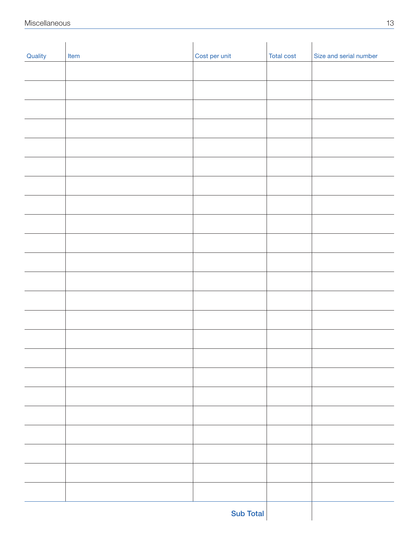| Quality | Item | Cost per unit | <b>Total cost</b> | Size and serial number |
|---------|------|---------------|-------------------|------------------------|
|         |      |               |                   |                        |
|         |      |               |                   |                        |
|         |      |               |                   |                        |
|         |      |               |                   |                        |
|         |      |               |                   |                        |
|         |      |               |                   |                        |
|         |      |               |                   |                        |
|         |      |               |                   |                        |
|         |      |               |                   |                        |
|         |      |               |                   |                        |
|         |      |               |                   |                        |
|         |      |               |                   |                        |
|         |      |               |                   |                        |
|         |      |               |                   |                        |
|         |      |               |                   |                        |
|         |      |               |                   |                        |
|         |      |               |                   |                        |
|         |      |               |                   |                        |
|         |      |               |                   |                        |
|         |      |               |                   |                        |
|         |      |               |                   |                        |
|         |      |               |                   |                        |
|         |      |               |                   |                        |
|         |      |               |                   |                        |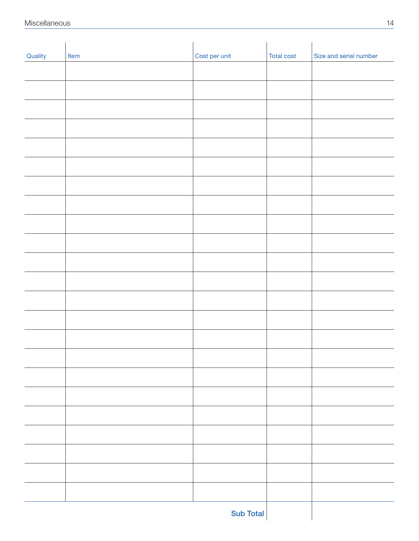| Quality | Item | Cost per unit | <b>Total cost</b> | Size and serial number |
|---------|------|---------------|-------------------|------------------------|
|         |      |               |                   |                        |
|         |      |               |                   |                        |
|         |      |               |                   |                        |
|         |      |               |                   |                        |
|         |      |               |                   |                        |
|         |      |               |                   |                        |
|         |      |               |                   |                        |
|         |      |               |                   |                        |
|         |      |               |                   |                        |
|         |      |               |                   |                        |
|         |      |               |                   |                        |
|         |      |               |                   |                        |
|         |      |               |                   |                        |
|         |      |               |                   |                        |
|         |      |               |                   |                        |
|         |      |               |                   |                        |
|         |      |               |                   |                        |
|         |      |               |                   |                        |
|         |      |               |                   |                        |
|         |      |               |                   |                        |
|         |      |               |                   |                        |
|         |      |               |                   |                        |
|         |      |               |                   |                        |
|         |      |               |                   |                        |
|         |      |               |                   |                        |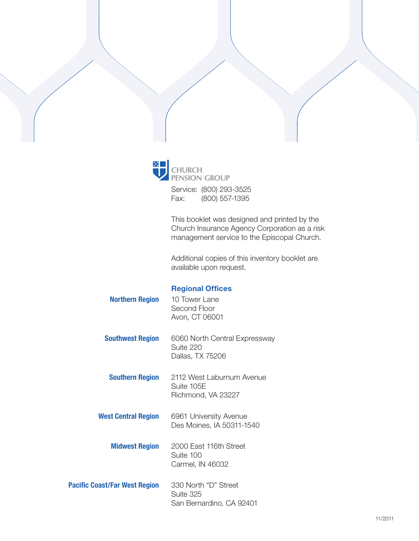

**CHURCH<br>PENSION GROUP** Service: (800) 293-3525

Fax: (800) 557-1395

This booklet was designed and printed by the Church Insurance Agency Corporation as a risk management service to the Episcopal Church.

Additional copies of this inventory booklet are available upon request.

### Regional Offices

| <b>Northern Region</b>     | 10 Tower Lane<br>Second Floor<br>Avon, CT 06001                |
|----------------------------|----------------------------------------------------------------|
| <b>Southwest Region</b>    | 6060 North Central Expressway<br>Suite 220<br>Dallas, TX 75206 |
| <b>Southern Region</b>     | 2112 West Laburnum Avenue<br>Suite 105E<br>Richmond, VA 23227  |
| <b>West Central Region</b> | 6961 University Avenue<br>Des Moines, IA 50311-1540            |
| <b>Midwest Region</b>      | 2000 East 116th Street<br>Suite 100<br>Carmel, IN 46032        |
| ast/Far West Region        | 330 North "D" Street                                           |